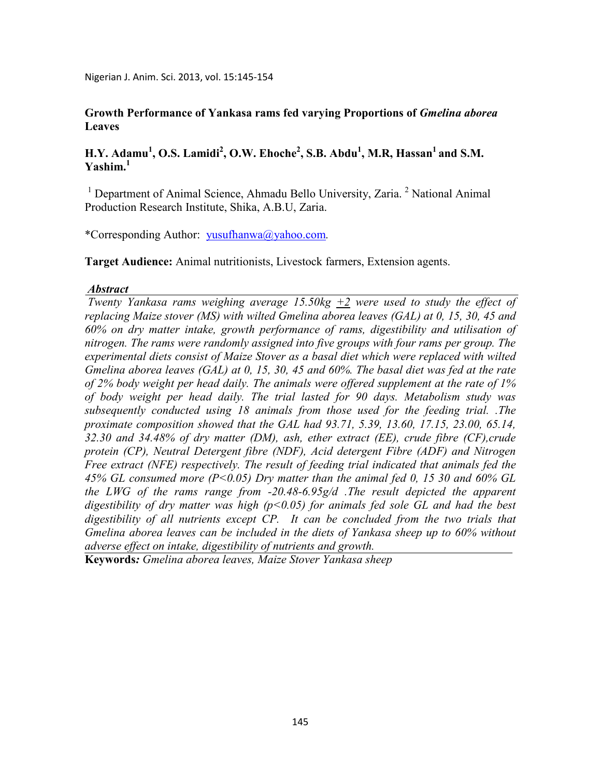Nigerian J. Anim. Sci. 2013, vol. 15:145-154

### **Growth Performance of Yankasa rams fed varying Proportions of** *Gmelina aborea* **Leaves**

## **H.Y. Adamu<sup>1</sup> , O.S. Lamidi<sup>2</sup> , O.W. Ehoche<sup>2</sup> , S.B. Abdu<sup>1</sup> , M.R, Hassan<sup>1</sup>and S.M. Yashim.<sup>1</sup>**

<sup>1</sup> Department of Animal Science, Ahmadu Bello University, Zaria.<sup>2</sup> National Animal Production Research Institute, Shika, A.B.U, Zaria.

\*Corresponding Author:yusufhanwa@yahoo.com*.* 

**Target Audience:** Animal nutritionists, Livestock farmers, Extension agents.

#### *Abstract*

*Twenty Yankasa rams weighing average 15.50kg*  $\pm$ *2 were used to study the effect of replacing Maize stover (MS) with wilted Gmelina aborea leaves (GAL) at 0, 15, 30, 45 and 60% on dry matter intake, growth performance of rams, digestibility and utilisation of nitrogen. The rams were randomly assigned into five groups with four rams per group. The experimental diets consist of Maize Stover as a basal diet which were replaced with wilted Gmelina aborea leaves (GAL) at 0, 15, 30, 45 and 60%. The basal diet was fed at the rate of 2% body weight per head daily. The animals were offered supplement at the rate of 1% of body weight per head daily. The trial lasted for 90 days. Metabolism study was subsequently conducted using 18 animals from those used for the feeding trial. .The proximate composition showed that the GAL had 93.71, 5.39, 13.60, 17.15, 23.00, 65.14, 32.30 and 34.48% of dry matter (DM), ash, ether extract (EE), crude fibre (CF),crude protein (CP), Neutral Detergent fibre (NDF), Acid detergent Fibre (ADF) and Nitrogen Free extract (NFE) respectively. The result of feeding trial indicated that animals fed the 45% GL consumed more (P<0.05) Dry matter than the animal fed 0, 15 30 and 60% GL the LWG of the rams range from -20.48-6.95g/d .The result depicted the apparent digestibility of dry matter was high (p<0.05) for animals fed sole GL and had the best digestibility of all nutrients except CP. It can be concluded from the two trials that Gmelina aborea leaves can be included in the diets of Yankasa sheep up to 60% without adverse effect on intake, digestibility of nutrients and growth.* 

**Keywords***: Gmelina aborea leaves, Maize Stover Yankasa sheep*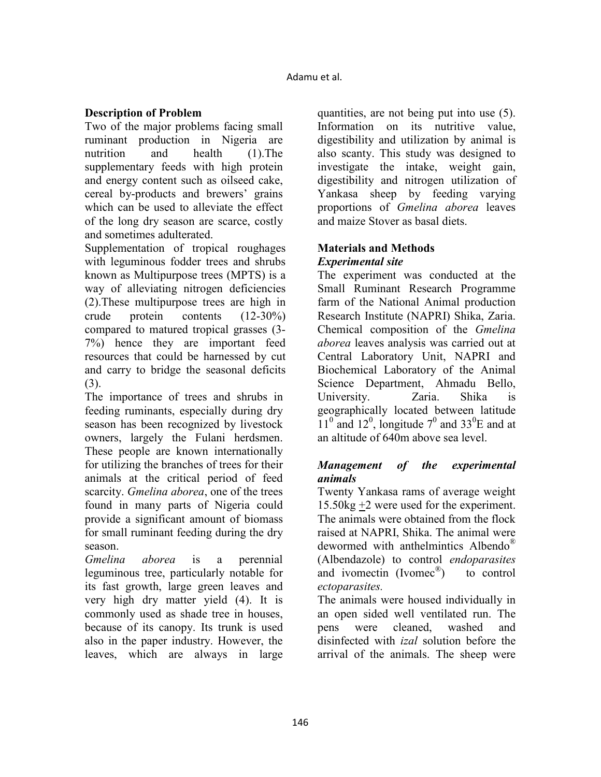## **Description of Problem**

Two of the major problems facing small ruminant production in Nigeria are nutrition and health (1).The supplementary feeds with high protein and energy content such as oilseed cake, cereal by-products and brewers' grains which can be used to alleviate the effect of the long dry season are scarce, costly and sometimes adulterated.

Supplementation of tropical roughages with leguminous fodder trees and shrubs known as Multipurpose trees (MPTS) is a way of alleviating nitrogen deficiencies (2).These multipurpose trees are high in crude protein contents (12-30%) compared to matured tropical grasses (3- 7%) hence they are important feed resources that could be harnessed by cut and carry to bridge the seasonal deficits (3).

The importance of trees and shrubs in feeding ruminants, especially during dry season has been recognized by livestock owners, largely the Fulani herdsmen. These people are known internationally for utilizing the branches of trees for their animals at the critical period of feed scarcity. *Gmelina aborea*, one of the trees found in many parts of Nigeria could provide a significant amount of biomass for small ruminant feeding during the dry season.

*Gmelina aborea* is a perennial leguminous tree, particularly notable for its fast growth, large green leaves and very high dry matter yield (4). It is commonly used as shade tree in houses, because of its canopy. Its trunk is used also in the paper industry. However, the leaves, which are always in large

quantities, are not being put into use (5). Information on its nutritive value, digestibility and utilization by animal is also scanty. This study was designed to investigate the intake, weight gain, digestibility and nitrogen utilization of Yankasa sheep by feeding varying proportions of *Gmelina aborea* leaves and maize Stover as basal diets.

## **Materials and Methods**  *Experimental site*

The experiment was conducted at the Small Ruminant Research Programme farm of the National Animal production Research Institute (NAPRI) Shika, Zaria. Chemical composition of the *Gmelina aborea* leaves analysis was carried out at Central Laboratory Unit, NAPRI and Biochemical Laboratory of the Animal Science Department, Ahmadu Bello, University. Zaria. Shika is geographically located between latitude  $11^{\circ}$  and  $12^{\circ}$ , longitude  $7^{\circ}$  and  $33^{\circ}$ E and at an altitude of 640m above sea level.

# *Management of the experimental animals*

Twenty Yankasa rams of average weight 15.50kg +2 were used for the experiment. The animals were obtained from the flock raised at NAPRI, Shika. The animal were dewormed with anthelmintics Albendo® (Albendazole) to control *endoparasites* and ivomectin (Ivomec<sup>®</sup>) ) to control *ectoparasites.*

The animals were housed individually in an open sided well ventilated run. The pens were cleaned, washed and disinfected with *izal* solution before the arrival of the animals. The sheep were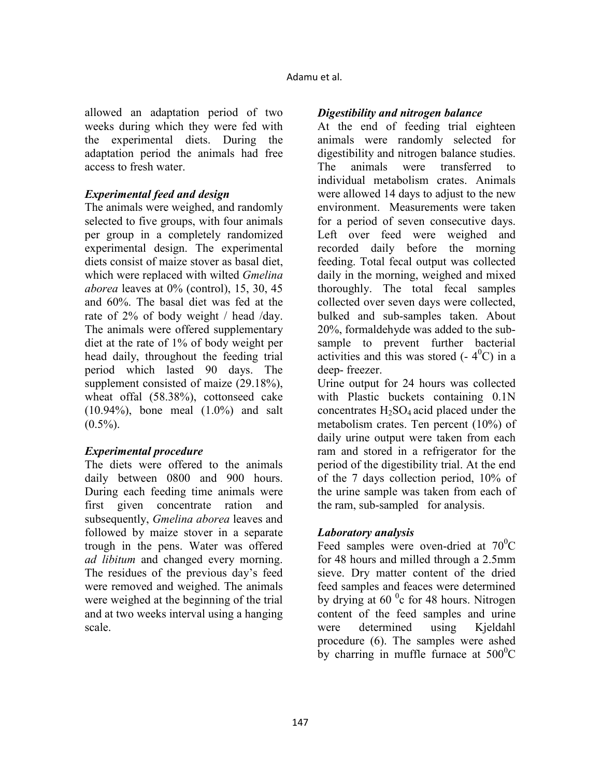allowed an adaptation period of two weeks during which they were fed with the experimental diets. During the adaptation period the animals had free access to fresh water.

#### *Experimental feed and design*

The animals were weighed, and randomly selected to five groups, with four animals per group in a completely randomized experimental design. The experimental diets consist of maize stover as basal diet, which were replaced with wilted *Gmelina aborea* leaves at 0% (control), 15, 30, 45 and 60%. The basal diet was fed at the rate of 2% of body weight / head /day. The animals were offered supplementary diet at the rate of 1% of body weight per head daily, throughout the feeding trial period which lasted 90 days. The supplement consisted of maize (29.18%), wheat offal (58.38%), cottonseed cake (10.94%), bone meal (1.0%) and salt  $(0.5\%)$ .

## *Experimental procedure*

The diets were offered to the animals daily between 0800 and 900 hours. During each feeding time animals were first given concentrate ration and subsequently, *Gmelina aborea* leaves and followed by maize stover in a separate trough in the pens. Water was offered *ad libitum* and changed every morning. The residues of the previous day's feed were removed and weighed. The animals were weighed at the beginning of the trial and at two weeks interval using a hanging scale.

### *Digestibility and nitrogen balance*

At the end of feeding trial eighteen animals were randomly selected for digestibility and nitrogen balance studies. The animals were transferred to individual metabolism crates. Animals were allowed 14 days to adjust to the new environment. Measurements were taken for a period of seven consecutive days. Left over feed were weighed and recorded daily before the morning feeding. Total fecal output was collected daily in the morning, weighed and mixed thoroughly. The total fecal samples collected over seven days were collected, bulked and sub-samples taken. About 20%, formaldehyde was added to the subsample to prevent further bacterial activities and this was stored  $(-4^{0}C)$  in a deep- freezer.

Urine output for 24 hours was collected with Plastic buckets containing 0.1N concentrates  $H_2SO_4$  acid placed under the metabolism crates. Ten percent (10%) of daily urine output were taken from each ram and stored in a refrigerator for the period of the digestibility trial. At the end of the 7 days collection period, 10% of the urine sample was taken from each of the ram, sub-sampled for analysis.

## *Laboratory analysis*

Feed samples were oven-dried at  $70^{\circ}$ C for 48 hours and milled through a 2.5mm sieve. Dry matter content of the dried feed samples and feaces were determined by drying at  $60<sup>o</sup>c$  for 48 hours. Nitrogen content of the feed samples and urine were determined using Kjeldahl procedure (6). The samples were ashed by charring in muffle furnace at  $500^{\circ}$ C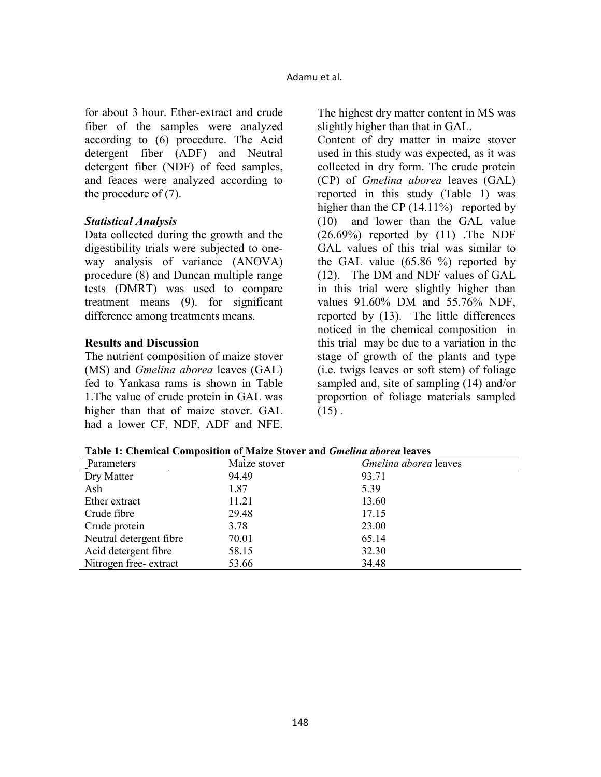for about 3 hour. Ether-extract and crude fiber of the samples were analyzed according to (6) procedure. The Acid detergent fiber (ADF) and Neutral detergent fiber (NDF) of feed samples, and feaces were analyzed according to the procedure of (7).

#### *Statistical Analysis*

Data collected during the growth and the digestibility trials were subjected to oneway analysis of variance (ANOVA) procedure (8) and Duncan multiple range tests (DMRT) was used to compare treatment means (9). for significant difference among treatments means.

### **Results and Discussion**

The nutrient composition of maize stover (MS) and *Gmelina aborea* leaves (GAL) fed to Yankasa rams is shown in Table 1.The value of crude protein in GAL was higher than that of maize stover. GAL had a lower CF, NDF, ADF and NFE. The highest dry matter content in MS was slightly higher than that in GAL.

Content of dry matter in maize stover used in this study was expected, as it was collected in dry form. The crude protein (CP) of *Gmelina aborea* leaves (GAL) reported in this study (Table 1) was higher than the CP (14.11%) reported by (10) and lower than the GAL value  $(26.69\%)$  reported by  $(11)$ . The NDF GAL values of this trial was similar to the GAL value (65.86 %) reported by (12). The DM and NDF values of GAL in this trial were slightly higher than values 91.60% DM and 55.76% NDF, reported by (13). The little differences noticed in the chemical composition in this trial may be due to a variation in the stage of growth of the plants and type (i.e. twigs leaves or soft stem) of foliage sampled and, site of sampling (14) and/or proportion of foliage materials sampled  $(15)$ .

| Table 1: Chemical Composition of Maize Stover and <i>Gmelina aborea</i> leaves |
|--------------------------------------------------------------------------------|
|--------------------------------------------------------------------------------|

| Parameters              | Maize stover | Gmelina aborea leaves |
|-------------------------|--------------|-----------------------|
| Dry Matter              | 94.49        | 93.71                 |
| Ash                     | 1.87         | 5.39                  |
| Ether extract           | 11.21        | 13.60                 |
| Crude fibre             | 29.48        | 17.15                 |
| Crude protein           | 3.78         | 23.00                 |
| Neutral detergent fibre | 70.01        | 65.14                 |
| Acid detergent fibre    | 58.15        | 32.30                 |
| Nitrogen free-extract   | 53.66        | 34.48                 |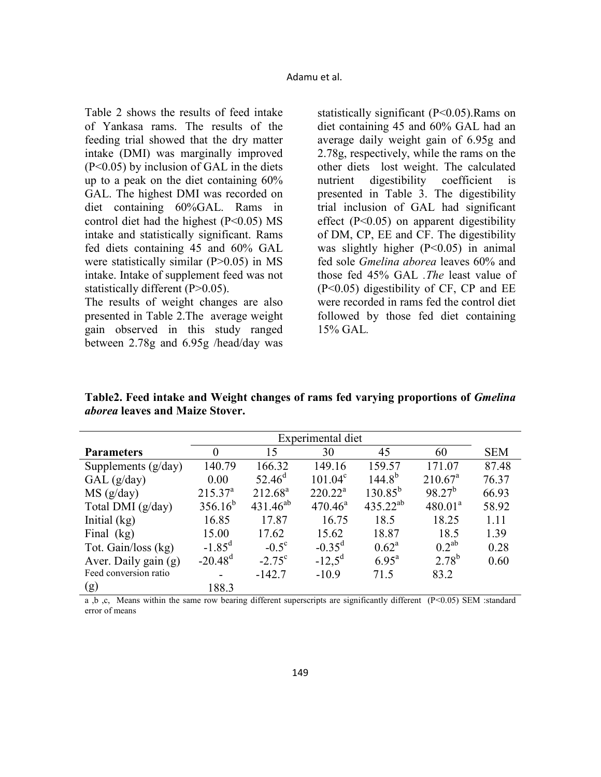Table 2 shows the results of feed intake of Yankasa rams. The results of the feeding trial showed that the dry matter intake (DMI) was marginally improved (P<0.05) by inclusion of GAL in the diets up to a peak on the diet containing 60% GAL. The highest DMI was recorded on diet containing 60%GAL. Rams in control diet had the highest (P<0.05) MS intake and statistically significant. Rams fed diets containing 45 and 60% GAL were statistically similar (P>0.05) in MS intake. Intake of supplement feed was not statistically different (P>0.05).

The results of weight changes are also presented in Table 2.The average weight gain observed in this study ranged between 2.78g and 6.95g /head/day was

statistically significant (P<0.05).Rams on diet containing 45 and 60% GAL had an average daily weight gain of 6.95g and 2.78g, respectively, while the rams on the other diets lost weight. The calculated nutrient digestibility coefficient is presented in Table 3. The digestibility trial inclusion of GAL had significant effect (P<0.05) on apparent digestibility of DM, CP, EE and CF. The digestibility was slightly higher  $(P<0.05)$  in animal fed sole *Gmelina aborea* leaves 60% and those fed 45% GAL *.The* least value of (P<0.05) digestibility of CF, CP and EE were recorded in rams fed the control diet followed by those fed diet containing 15% GAL*.* 

**Table2. Feed intake and Weight changes of rams fed varying proportions of** *Gmelina aborea* **leaves and Maize Stover.** 

|                       | Experimental diet |                 |            |                   |                     |            |
|-----------------------|-------------------|-----------------|------------|-------------------|---------------------|------------|
| <b>Parameters</b>     | $\Omega$          | 15              | 30         | 45                | 60                  | <b>SEM</b> |
| Supplements $(g/day)$ | 140.79            | 166.32          | 149.16     | 159.57            | 171.07              | 87.48      |
| GAL(g/day)            | 0.00              | $52.46^{\rm d}$ | $101.04^c$ | $144.8^{b}$       | $210.67^a$          | 76.37      |
| MS (g/day)            | $215.37^a$        | $212.68^a$      | $220.22^a$ | $130.85^{b}$      | $98.27^{b}$         | 66.93      |
| Total DMI (g/day)     | $356.16^b$        | $431.46^{ab}$   | $470.46^a$ | $435.22^{ab}$     | 480.01 <sup>a</sup> | 58.92      |
| Initial $(kg)$        | 16.85             | 17.87           | 16.75      | 18.5              | 18.25               | 1.11       |
| Final $(kg)$          | 15.00             | 17.62           | 15.62      | 18.87             | 18.5                | 1.39       |
| Tot. Gain/loss (kg)   | $-1.85^d$         | $-0.5^{\circ}$  | $-0.35^d$  | $0.62^{\rm a}$    | $0.2^{ab}$          | 0.28       |
| Aver. Daily gain (g)  | $-20.48^d$        | $-2.75^{\circ}$ | $-12.5^d$  | $6.95^{\text{a}}$ | $2.78^{b}$          | 0.60       |
| Feed conversion ratio |                   | $-142.7$        | $-10.9$    | 71.5              | 83.2                |            |
| (g)                   | 188.3             |                 |            |                   |                     |            |

a ,b ,c, Means within the same row bearing different superscripts are significantly different (P<0.05) SEM :standard error of means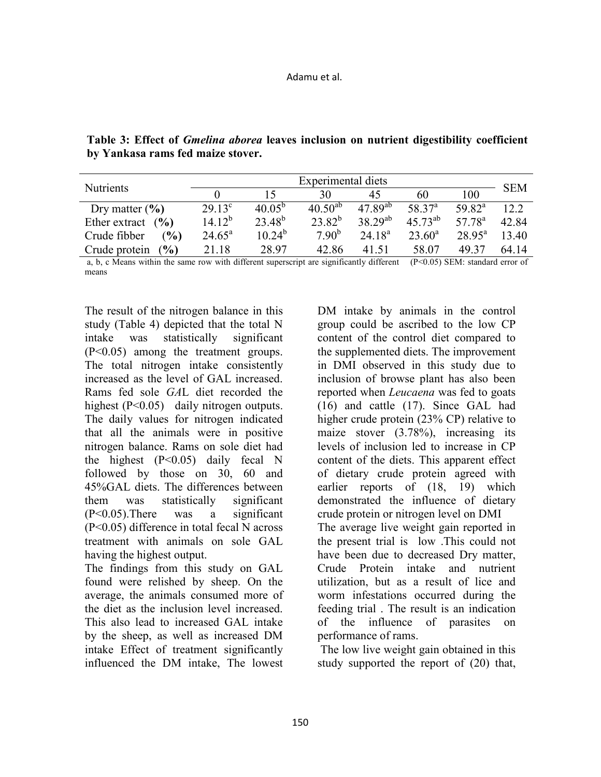| <b>Nutrients</b>                | Experimental diets |             |              |              |              |                    | <b>SEM</b> |
|---------------------------------|--------------------|-------------|--------------|--------------|--------------|--------------------|------------|
|                                 |                    |             | 30           | 45           | 60           | 100                |            |
| Dry matter $(\% )$              | $29.13^{\circ}$    | $40.05^{b}$ | $40.50^{ab}$ | $47.89^{ab}$ | $58.37^{a}$  | $59.82^a$          | 12.2       |
| Ether extract $(%$              | $14.12^{b}$        | $23.48^{b}$ | $23.82^{b}$  | $38.29^{ab}$ | $45.73^{ab}$ | $57.78^{\circ}$    | 42.84      |
| $\mathcal{O}_0$<br>Crude fibber | $24.65^{\circ}$    | $10.24^{b}$ | $7.90^{b}$   | $24.18^{a}$  | $23.60^a$    | $28.95^{\text{a}}$ | 13.40      |
| $($ %)<br>Crude protein         | 21.18              | 28 97       | 42.86        | 41.51        | 58.07        | 49.37              | 64 14      |

**Table 3: Effect of** *Gmelina aborea* **leaves inclusion on nutrient digestibility coefficient by Yankasa rams fed maize stover.** 

a, b, c Means within the same row with different superscript are significantly different  $(P< 0.05)$  SEM: standard error of means

The result of the nitrogen balance in this study (Table 4) depicted that the total N intake was statistically significant (P<0.05) among the treatment groups. The total nitrogen intake consistently increased as the level of GAL increased. Rams fed sole *GA*L diet recorded the highest (P<0.05) daily nitrogen outputs. The daily values for nitrogen indicated that all the animals were in positive nitrogen balance. Rams on sole diet had the highest  $(P<0.05)$  daily fecal N followed by those on 30, 60 and 45%GAL diets. The differences between them was statistically significant (P<0.05).There was a significant (P<0.05) difference in total fecal N across treatment with animals on sole GAL having the highest output.

The findings from this study on GAL found were relished by sheep. On the average, the animals consumed more of the diet as the inclusion level increased. This also lead to increased GAL intake by the sheep, as well as increased DM intake Effect of treatment significantly influenced the DM intake, The lowest

DM intake by animals in the control group could be ascribed to the low CP content of the control diet compared to the supplemented diets. The improvement in DMI observed in this study due to inclusion of browse plant has also been reported when *Leucaena* was fed to goats (16) and cattle (17). Since GAL had higher crude protein (23% CP) relative to maize stover (3.78%), increasing its levels of inclusion led to increase in CP content of the diets. This apparent effect of dietary crude protein agreed with earlier reports of (18, 19) which demonstrated the influence of dietary crude protein or nitrogen level on DMI The average live weight gain reported in

the present trial is low .This could not have been due to decreased Dry matter, Crude Protein intake and nutrient utilization, but as a result of lice and worm infestations occurred during the feeding trial . The result is an indication of the influence of parasites on performance of rams.

 The low live weight gain obtained in this study supported the report of (20) that,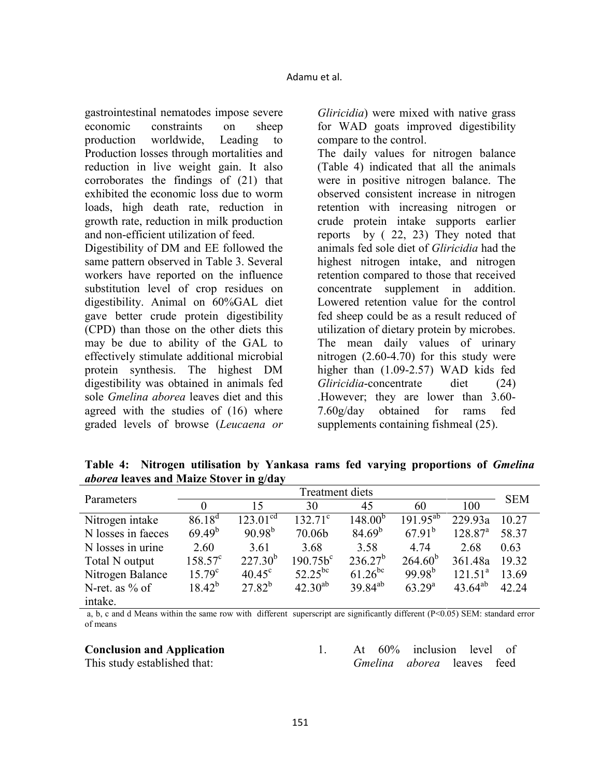gastrointestinal nematodes impose severe economic constraints on sheep production worldwide, Leading to Production losses through mortalities and reduction in live weight gain. It also corroborates the findings of (21) that exhibited the economic loss due to worm loads, high death rate, reduction in growth rate, reduction in milk production and non-efficient utilization of feed.

Digestibility of DM and EE followed the same pattern observed in Table 3. Several workers have reported on the influence substitution level of crop residues on digestibility. Animal on 60%GAL diet gave better crude protein digestibility (CPD) than those on the other diets this may be due to ability of the GAL to effectively stimulate additional microbial protein synthesis. The highest DM digestibility was obtained in animals fed sole *Gmelina aborea* leaves diet and this agreed with the studies of (16) where graded levels of browse (*Leucaena or* 

*Gliricidia*) were mixed with native grass for WAD goats improved digestibility compare to the control.

The daily values for nitrogen balance (Table 4) indicated that all the animals were in positive nitrogen balance. The observed consistent increase in nitrogen retention with increasing nitrogen or crude protein intake supports earlier reports by ( 22, 23) They noted that animals fed sole diet of *Gliricidia* had the highest nitrogen intake, and nitrogen retention compared to those that received concentrate supplement in addition. Lowered retention value for the control fed sheep could be as a result reduced of utilization of dietary protein by microbes. The mean daily values of urinary nitrogen (2.60-4.70) for this study were higher than  $(1.09-2.57)$  WAD kids fed *Gliricidia*-concentrate diet (24) .However; they are lower than 3.60- 7.60g/day obtained for rams fed supplements containing fishmeal (25).

Table 4: Nitrogen utilisation by Yankasa rams fed varying proportions of *Gmelina aborea* **leaves and Maize Stover in g/day** 

| Parameters         | <b>Treatment diets</b> |                      |                  |              |                  |              | <b>SEM</b> |
|--------------------|------------------------|----------------------|------------------|--------------|------------------|--------------|------------|
|                    |                        | 15                   | 30               | 45           | 60               | 100          |            |
| Nitrogen intake    | $86.18^{d}$            | 123.01 <sup>cd</sup> | $132.71^{\circ}$ | $148.00^{b}$ | $191.95^{ab}$    | 229.93a      | 10.27      |
| N losses in faeces | $69.49^{b}$            | $90.98^{b}$          | 70.06b           | $84.69^{b}$  | $67.91^{b}$      | $128.87^{a}$ | 58.37      |
| N losses in urine  | 2.60                   | 3.61                 | 3.68             | 3.58         | 4.74             | 2.68         | 0.63       |
| Total N output     | $158.57^{\circ}$       | $227.30^{b}$         | $190.75b^{c}$    | $236.27^b$   | $264.60^{b}$     | 361.48a      | 19.32      |
| Nitrogen Balance   | $15.79^{\circ}$        | $40.45^{\circ}$      | $52.25^{bc}$     | $61.26^{bc}$ | $99.98^{b}$      | $121.51^a$   | 13.69      |
| N-ret. as $\%$ of  | $18.42^{b}$            | $27.82^{b}$          | $42.30^{ab}$     | $39.84^{ab}$ | $63\ 29^{\rm a}$ | $43.64^{ab}$ | 42 24      |
| intake.            |                        |                      |                  |              |                  |              |            |

a, b, c and d Means within the same row with different superscript are significantly different  $(P<0.05)$  SEM: standard error of means

#### **Conclusion and Application**

This study established that:

1. At 60% inclusion level of *Gmelina aborea* leaves feed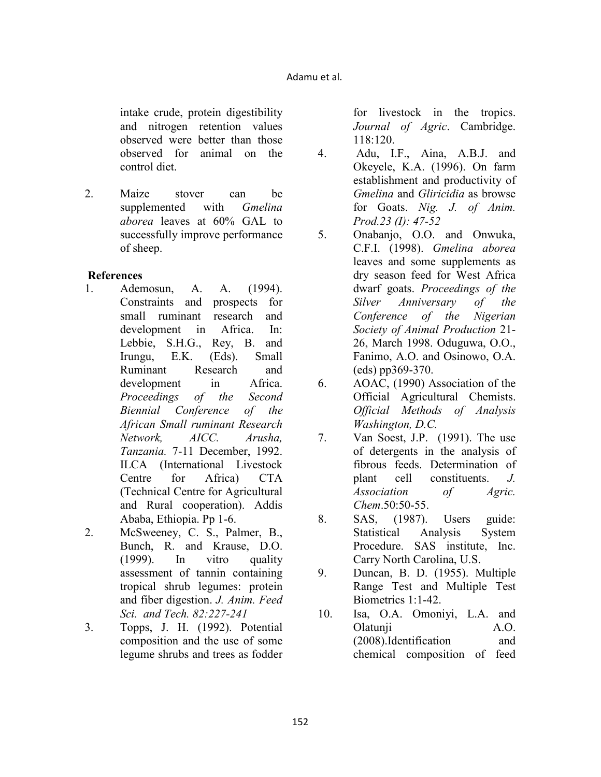intake crude, protein digestibility and nitrogen retention values observed were better than those observed for animal on the control diet.

2. Maize stover can be supplemented with *Gmelina aborea* leaves at 60% GAL to successfully improve performance of sheep.

### **References**

- 1. Ademosun, A. A. (1994). Constraints and prospects for small ruminant research and development in Africa. In: Lebbie, S.H.G., Rey, B. and Irungu, E.K. (Eds). Small Ruminant Research and development in Africa. *Proceedings of the Second Biennial Conference of the African Small ruminant Research etwork, AICC. Arusha, Tanzania.* 7-11 December, 1992. ILCA (International Livestock Centre for Africa) CTA (Technical Centre for Agricultural and Rural cooperation). Addis Ababa, Ethiopia. Pp 1-6.
- 2. McSweeney, C. S., Palmer, B., Bunch, R. and Krause, D.O. (1999). In vitro quality assessment of tannin containing tropical shrub legumes: protein and fiber digestion. *J. Anim. Feed Sci. and Tech. 82:227-241*
- 3. Topps, J. H. (1992). Potential composition and the use of some legume shrubs and trees as fodder

for livestock in the tropics. *Journal of Agric*. Cambridge. 118:120.

- 4. Adu, I.F., Aina, A.B.J. and Okeyele, K.A. (1996). On farm establishment and productivity of *Gmelina* and *Gliricidia* as browse for Goats. Nig. J. of Anim. *Prod.23 (I): 47-52*
- 5. Onabanjo, O.O. and Onwuka, C.F.I. (1998). *Gmelina aborea* leaves and some supplements as dry season feed for West Africa dwarf goats. *Proceedings of the Silver Anniversary of the Conference of the Nigerian Society of Animal Production* 21- 26, March 1998. Oduguwa, O.O., Fanimo, A.O. and Osinowo, O.A. (eds) pp369-370.
- 6. AOAC, (1990) Association of the Official Agricultural Chemists. *Official Methods of Analysis Washington, D.C.*
- 7. Van Soest, J.P. (1991). The use of detergents in the analysis of fibrous feeds. Determination of plant cell constituents. *J. Association of Agric. Chem*.50:50-55.
- 8. SAS, (1987). Users guide: Statistical Analysis System Procedure. SAS institute, Inc. Carry North Carolina, U.S.
- 9. Duncan, B. D. (1955). Multiple Range Test and Multiple Test Biometrics 1:1-42.
- 10. Isa, O.A. Omoniyi, L.A. and Olatunji A.O. (2008).Identification and chemical composition of feed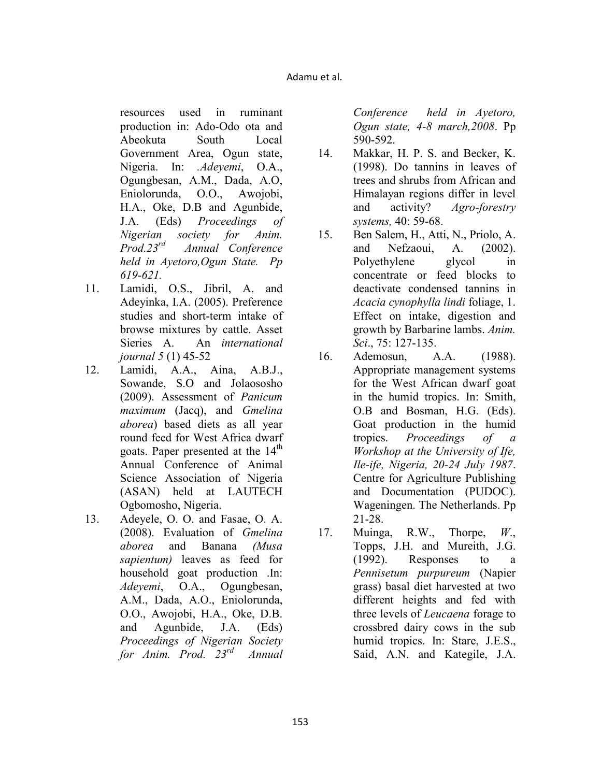resources used in ruminant production in: Ado-Odo ota and Abeokuta South Local Government Area, Ogun state, Nigeria. In: *.Adeyemi*, O.A., Ogungbesan, A.M., Dada, A.O, Eniolorunda, O.O., Awojobi, H.A., Oke, D.B and Agunbide, J.A. (Eds) *Proceedings of igerian society for Anim. Prod.23rd Annual Conference held in Ayetoro,Ogun State. Pp 619-621.* 

- 11. Lamidi, O.S., Jibril, A. and Adeyinka, I.A. (2005). Preference studies and short-term intake of browse mixtures by cattle. Asset Sieries A. An *international journal 5* (1) 45-52
- 12. Lamidi, A.A., Aina, A.B.J., Sowande, S.O and Jolaososho (2009). Assessment of *Panicum maximum* (Jacq), and *Gmelina aborea*) based diets as all year round feed for West Africa dwarf goats. Paper presented at the  $14<sup>th</sup>$ Annual Conference of Animal Science Association of Nigeria (ASAN) held at LAUTECH Ogbomosho, Nigeria.
- 13. Adeyele, O. O. and Fasae, O. A. (2008). Evaluation of *Gmelina aborea* and Banana *(Musa sapientum)* leaves as feed for household goat production .In: *Adeyemi*, O.A., Ogungbesan, A.M., Dada, A.O., Eniolorunda, O.O., Awojobi, H.A., Oke, D.B. and Agunbide, J.A. (Eds) *Proceedings of Nigerian Society for Anim. Prod. 23rd Annual*

*Conference held in Ayetoro, Ogun state, 4-8 march,2008*. Pp 590-592.

- 14. Makkar, H. P. S. and Becker, K. (1998). Do tannins in leaves of trees and shrubs from African and Himalayan regions differ in level and activity? *Agro-forestry systems,* 40: 59-68.
- 15. Ben Salem, H., Atti, N., Priolo, A. and Nefzaoui, A. (2002). Polyethylene glycol in concentrate or feed blocks to deactivate condensed tannins in *Acacia cynophylla lindi* foliage, 1. Effect on intake, digestion and growth by Barbarine lambs. *Anim. Sci*., 75: 127-135.
- 16. Ademosun, A.A. (1988). Appropriate management systems for the West African dwarf goat in the humid tropics. In: Smith, O.B and Bosman, H.G. (Eds). Goat production in the humid tropics. *Proceedings of a Workshop at the University of Ife, Ile-ife, Nigeria, 20-24 July 1987.* Centre for Agriculture Publishing and Documentation (PUDOC). Wageningen. The Netherlands. Pp 21-28.
- 17. Muinga, R.W., Thorpe, *W*., Topps, J.H. and Mureith, J.G. (1992). Responses to a *Pennisetum purpureum* (Napier grass) basal diet harvested at two different heights and fed with three levels of *Leucaena* forage to crossbred dairy cows in the sub humid tropics. In: Stare, J.E.S., Said, A.N. and Kategile, J.A.